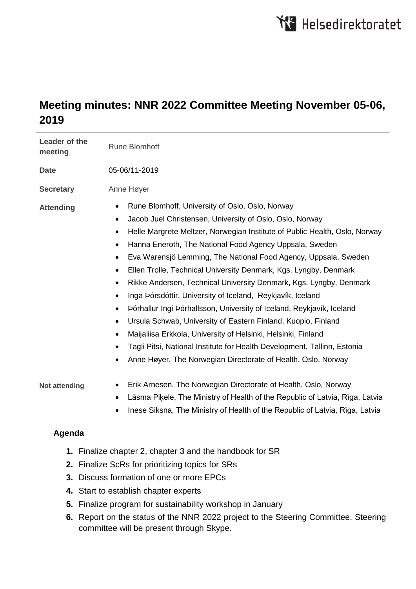# **Meeting minutes: NNR 2022 Committee Meeting November 05-06, 2019**

| Leader of the<br>meeting                                 | <b>Rune Blomhoff</b>                                                                                                                                                                                                                                                                                                                                                                                                                                                                                                                                                                                                                                                                                                                                                                                                                                                                                                                                                               |
|----------------------------------------------------------|------------------------------------------------------------------------------------------------------------------------------------------------------------------------------------------------------------------------------------------------------------------------------------------------------------------------------------------------------------------------------------------------------------------------------------------------------------------------------------------------------------------------------------------------------------------------------------------------------------------------------------------------------------------------------------------------------------------------------------------------------------------------------------------------------------------------------------------------------------------------------------------------------------------------------------------------------------------------------------|
| <b>Date</b>                                              | 05-06/11-2019                                                                                                                                                                                                                                                                                                                                                                                                                                                                                                                                                                                                                                                                                                                                                                                                                                                                                                                                                                      |
| <b>Secretary</b>                                         | Anne Høyer                                                                                                                                                                                                                                                                                                                                                                                                                                                                                                                                                                                                                                                                                                                                                                                                                                                                                                                                                                         |
| <b>Attending</b>                                         | Rune Blomhoff, University of Oslo, Oslo, Norway<br>$\bullet$<br>Jacob Juel Christensen, University of Oslo, Oslo, Norway<br>$\bullet$<br>Helle Margrete Meltzer, Norwegian Institute of Public Health, Oslo, Norway<br>$\bullet$<br>Hanna Eneroth, The National Food Agency Uppsala, Sweden<br>$\bullet$<br>Eva Warensjö Lemming, The National Food Agency, Uppsala, Sweden<br>$\bullet$<br>Ellen Trolle, Technical University Denmark, Kgs. Lyngby, Denmark<br>$\bullet$<br>Rikke Andersen, Technical University Denmark, Kgs. Lyngby, Denmark<br>$\bullet$<br>Inga Þórsdóttir, University of Iceland, Reykjavík, Iceland<br>Þórhallur Ingi Þórhallsson, University of Iceland, Reykjavík, Iceland<br>Ursula Schwab, University of Eastern Finland, Kuopio, Finland<br>Maijaliisa Erkkola, University of Helsinki, Helsinki, Finland<br>Tagli Pitsi, National Institute for Health Development, Tallinn, Estonia<br>Anne Høyer, The Norwegian Directorate of Health, Oslo, Norway |
| Not attending                                            | Erik Arnesen, The Norwegian Directorate of Health, Oslo, Norway<br>Lāsma Piķele, The Ministry of Health of the Republic of Latvia, Rīga, Latvia<br>$\bullet$<br>Inese Siksna, The Ministry of Health of the Republic of Latvia, Rīga, Latvia                                                                                                                                                                                                                                                                                                                                                                                                                                                                                                                                                                                                                                                                                                                                       |
| Agenda                                                   |                                                                                                                                                                                                                                                                                                                                                                                                                                                                                                                                                                                                                                                                                                                                                                                                                                                                                                                                                                                    |
| 1. Finalize chapter 2, chapter 3 and the handbook for SR |                                                                                                                                                                                                                                                                                                                                                                                                                                                                                                                                                                                                                                                                                                                                                                                                                                                                                                                                                                                    |

- **2.** Finalize ScRs for prioritizing topics for SRs
- **3.** Discuss formation of one or more EPCs
- **4.** Start to establish chapter experts
- **5.** Finalize program for sustainability workshop in January
- **6.** Report on the status of the NNR 2022 project to the Steering Committee. Steering committee will be present through Skype.